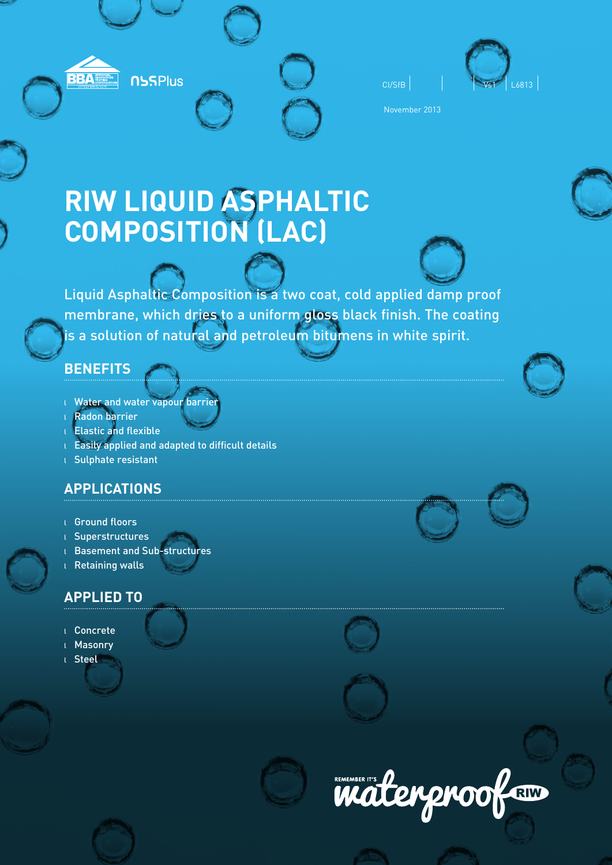



November 2013

# **RIW LIQUID ASPHALTIC COMPOSITION (LAC)**

Liquid Asphaltic Composition is a two coat, cold applied damp proof membrane, which dries to a uniform gloss black finish. The coating is a solution of natural and petroleum bitumens in white spirit.

# **BENEFITS**

<sup>l</sup> Water and water vapour barrier

**NSSPlus** 

**BBA** NECTOR

- <sup>l</sup> Radon barrier
- <sup>l</sup> Elastic and flexible
- $L$  Easily applied and adapted to difficult details
- <sup>l</sup> Sulphate resistant

# **APPLICATIONS**

- <sup>l</sup> Ground floors
- <sup>l</sup> Superstructures
- <sup>l</sup> Basement and Sub-structures
- <sup>l</sup> Retaining walls

# **APPLIED TO**

- <sup>l</sup> Concrete
- **Masonry**
- <sup>l</sup> Steel









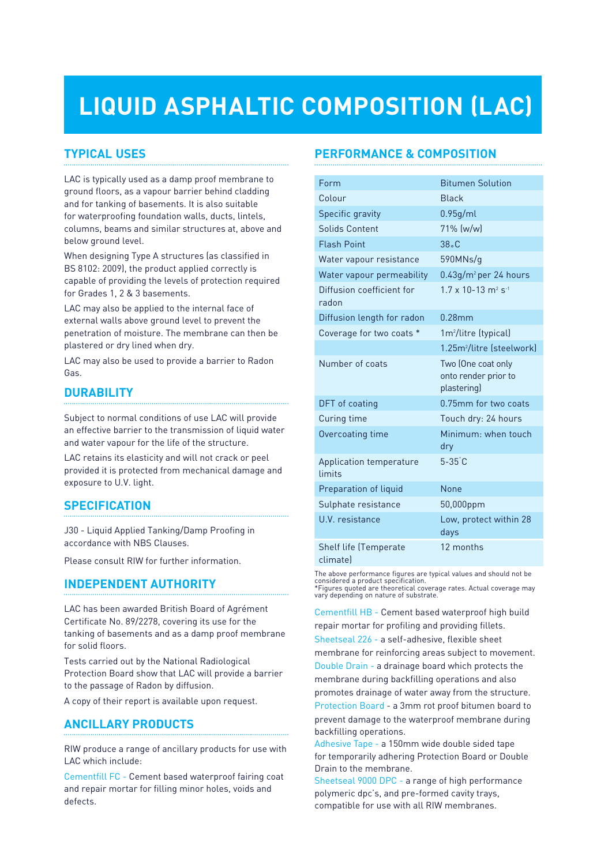# **LIQUID ASPHALTIC COMPOSITION (LAC)**

# **TYPICAL USES**

LAC is typically used as a damp proof membrane to ground floors, as a vapour barrier behind cladding and for tanking of basements. It is also suitable for waterproofing foundation walls, ducts, lintels, columns, beams and similar structures at, above and below ground level.

When designing Type A structures (as classified in BS 8102: 2009), the product applied correctly is capable of providing the levels of protection required for Grades 1, 2 & 3 basements.

LAC may also be applied to the internal face of external walls above ground level to prevent the penetration of moisture. The membrane can then be plastered or dry lined when dry.

LAC may also be used to provide a barrier to Radon Gas.

# **DURABILITY**

Subject to normal conditions of use LAC will provide an effective barrier to the transmission of liquid water and water vapour for the life of the structure.

LAC retains its elasticity and will not crack or peel provided it is protected from mechanical damage and exposure to U.V. light.

# **SPECIFICATION**

J30 - Liquid Applied Tanking/Damp Proofing in accordance with NBS Clauses.

Please consult RIW for further information.

# **INDEPENDENT AUTHORITY**

LAC has been awarded British Board of Agrément Certificate No. 89/2278, covering its use for the tanking of basements and as a damp proof membrane for solid floors.

Tests carried out by the National Radiological Protection Board show that LAC will provide a barrier to the passage of Radon by diffusion.

A copy of their report is available upon request.

# **ANCILLARY PRODUCTS**

RIW produce a range of ancillary products for use with LAC which include:

Cementfill FC - Cement based waterproof fairing coat and repair mortar for filling minor holes, voids and defects.

# **PERFORMANCE & COMPOSITION**

| Form                                     | <b>Bitumen Solution</b>                                   |
|------------------------------------------|-----------------------------------------------------------|
| Colour                                   | <b>Black</b>                                              |
| Specific gravity                         | 0.95g/ml                                                  |
| Solids Content                           | 71% (w/w)                                                 |
| <b>Flash Point</b>                       | 38. C                                                     |
| Water vapour resistance                  | 590MNs/q                                                  |
| Water vapour permeability                | $0.43$ g/m <sup>2</sup> per 24 hours                      |
| Diffusion coefficient for<br>radon       | $1.7 \times 10 - 13$ m <sup>2</sup> s <sup>-1</sup>       |
| Diffusion length for radon               | $0.28$ mm                                                 |
| Coverage for two coats *                 | 1m <sup>2</sup> /litre (typical)                          |
|                                          | 1.25m <sup>2</sup> /litre (steelwork)                     |
| Number of coats                          | Two (One coat only<br>onto render prior to<br>plastering) |
| DFT of coating                           | 0.75mm for two coats                                      |
| Curing time                              | Touch dry: 24 hours                                       |
| Overcoating time                         | Minimum: when touch<br>dry                                |
| Application temperature<br>limits        | $5 - 35$ $C$                                              |
| Preparation of liquid                    | <b>None</b>                                               |
| Sulphate resistance                      | 50,000ppm                                                 |
| U.V. resistance                          | Low, protect within 28<br>days                            |
| <b>Shelf life (Temperate</b><br>climatel | 12 months                                                 |

The above performance figures are typical values and should not be considered a product specification. \*Figures quoted are theoretical coverage rates. Actual coverage may vary depending on nature of substrate.

Cementfill HB - Cement based waterproof high build repair mortar for profiling and providing fillets. Sheetseal 226 - a self-adhesive, flexible sheet

membrane for reinforcing areas subject to movement. Double Drain - a drainage board which protects the

membrane during backfilling operations and also promotes drainage of water away from the structure.

Protection Board - a 3mm rot proof bitumen board to prevent damage to the waterproof membrane during backfilling operations.

Adhesive Tape - a 150mm wide double sided tape for temporarily adhering Protection Board or Double Drain to the membrane.

Sheetseal 9000 DPC - a range of high performance polymeric dpc's, and pre-formed cavity trays, compatible for use with all RIW membranes.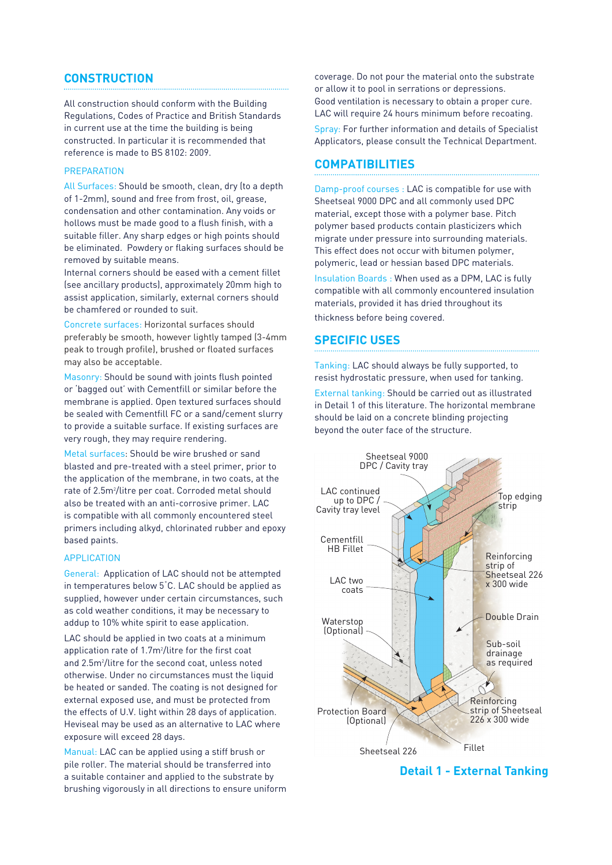### **CONSTRUCTION**

All construction should conform with the Building Regulations, Codes of Practice and British Standards in current use at the time the building is being constructed. In particular it is recommended that reference is made to BS 8102: 2009.

#### **PREPARATION**

All Surfaces: Should be smooth, clean, dry (to a depth of 1-2mm), sound and free from frost, oil, grease, condensation and other contamination. Any voids or hollows must be made good to a flush finish, with a suitable filler. Any sharp edges or high points should be eliminated. Powdery or flaking surfaces should be removed by suitable means.

Internal corners should be eased with a cement fillet (see ancillary products), approximately 20mm high to assist application, similarly, external corners should be chamfered or rounded to suit.

Concrete surfaces: Horizontal surfaces should preferably be smooth, however lightly tamped (3-4mm peak to trough profile), brushed or floated surfaces may also be acceptable.

Masonry: Should be sound with joints flush pointed or 'bagged out' with Cementfill or similar before the membrane is applied. Open textured surfaces should be sealed with Cementfill FC or a sand/cement slurry to provide a suitable surface. If existing surfaces are very rough, they may require rendering.

Metal surfaces: Should be wire brushed or sand blasted and pre-treated with a steel primer, prior to the application of the membrane, in two coats, at the rate of 2.5m2 /litre per coat. Corroded metal should also be treated with an anti-corrosive primer. LAC is compatible with all commonly encountered steel primers including alkyd, chlorinated rubber and epoxy based paints.

#### APPLICATION

General: Application of LAC should not be attempted in temperatures below 5˚C. LAC should be applied as supplied, however under certain circumstances, such as cold weather conditions, it may be necessary to addup to 10% white spirit to ease application.

LAC should be applied in two coats at a minimum application rate of 1.7m<sup>2</sup>/litre for the first coat and 2.5m<sup>2</sup>/litre for the second coat, unless noted otherwise. Under no circumstances must the liquid be heated or sanded. The coating is not designed for external exposed use, and must be protected from the effects of U.V. light within 28 days of application. Heviseal may be used as an alternative to LAC where exposure will exceed 28 days.

Manual: LAC can be applied using a stiff brush or pile roller. The material should be transferred into a suitable container and applied to the substrate by brushing vigorously in all directions to ensure uniform coverage. Do not pour the material onto the substrate or allow it to pool in serrations or depressions. Good ventilation is necessary to obtain a proper cure. LAC will require 24 hours minimum before recoating. Spray: For further information and details of Specialist Applicators, please consult the Technical Department.

## **COMPATIBILITIES**

Damp-proof courses : LAC is compatible for use with Sheetseal 9000 DPC and all commonly used DPC material, except those with a polymer base. Pitch polymer based products contain plasticizers which migrate under pressure into surrounding materials. This effect does not occur with bitumen polymer, polymeric, lead or hessian based DPC materials.

Insulation Boards : When used as a DPM, LAC is fully compatible with all commonly encountered insulation materials, provided it has dried throughout its thickness before being covered.

#### **SPECIFIC USES**

Tanking: LAC should always be fully supported, to resist hydrostatic pressure, when used for tanking. External tanking: Should be carried out as illustrated in Detail 1 of this literature. The horizontal membrane should be laid on a concrete blinding projecting beyond the outer face of the structure.



**Detail 1 - External Tanking**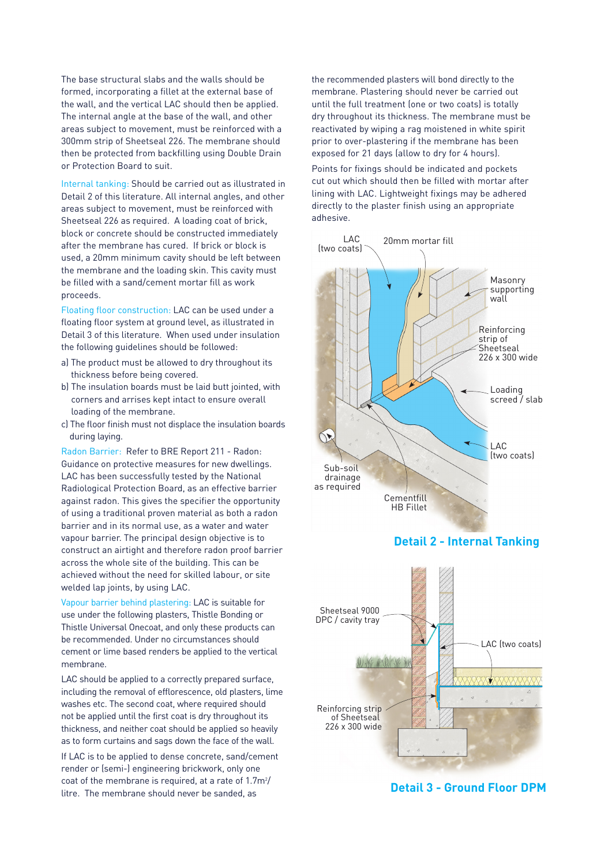The base structural slabs and the walls should be formed, incorporating a fillet at the external base of the wall, and the vertical LAC should then be applied. The internal angle at the base of the wall, and other areas subject to movement, must be reinforced with a 300mm strip of Sheetseal 226. The membrane should then be protected from backfilling using Double Drain or Protection Board to suit.

Internal tanking: Should be carried out as illustrated in Detail 2 of this literature. All internal angles, and other areas subject to movement, must be reinforced with Sheetseal 226 as required. A loading coat of brick, block or concrete should be constructed immediately after the membrane has cured. If brick or block is used, a 20mm minimum cavity should be left between the membrane and the loading skin. This cavity must be filled with a sand/cement mortar fill as work proceeds.

Floating floor construction: LAC can be used under a floating floor system at ground level, as illustrated in Detail 3 of this literature. When used under insulation the following guidelines should be followed:

- a) The product must be allowed to dry throughout its thickness before being covered.
- b) The insulation boards must be laid butt jointed, with corners and arrises kept intact to ensure overall loading of the membrane.
- c) The floor finish must not displace the insulation boards during laying.

Radon Barrier: Refer to BRE Report 211 - Radon: Guidance on protective measures for new dwellings. LAC has been successfully tested by the National Radiological Protection Board, as an effective barrier against radon. This gives the specifier the opportunity of using a traditional proven material as both a radon barrier and in its normal use, as a water and water vapour barrier. The principal design objective is to construct an airtight and therefore radon proof barrier across the whole site of the building. This can be achieved without the need for skilled labour, or site welded lap joints, by using LAC.

Vapour barrier behind plastering: LAC is suitable for use under the following plasters, Thistle Bonding or Thistle Universal Onecoat, and only these products can be recommended. Under no circumstances should cement or lime based renders be applied to the vertical membrane.

LAC should be applied to a correctly prepared surface, including the removal of efflorescence, old plasters, lime washes etc. The second coat, where required should not be applied until the first coat is dry throughout its thickness, and neither coat should be applied so heavily as to form curtains and sags down the face of the wall.

If LAC is to be applied to dense concrete, sand/cement render or (semi-) engineering brickwork, only one coat of the membrane is required, at a rate of  $1.7m<sup>2</sup>/$ litre. The membrane should never be sanded, as

the recommended plasters will bond directly to the membrane. Plastering should never be carried out until the full treatment (one or two coats) is totally dry throughout its thickness. The membrane must be reactivated by wiping a rag moistened in white spirit prior to over-plastering if the membrane has been exposed for 21 days (allow to dry for 4 hours).

Points for fixings should be indicated and pockets cut out which should then be filled with mortar after lining with LAC. Lightweight fixings may be adhered directly to the plaster finish using an appropriate adhesive.



#### **Detail 2 - Internal Tanking**



**Detail 3 - Ground Floor DPM**